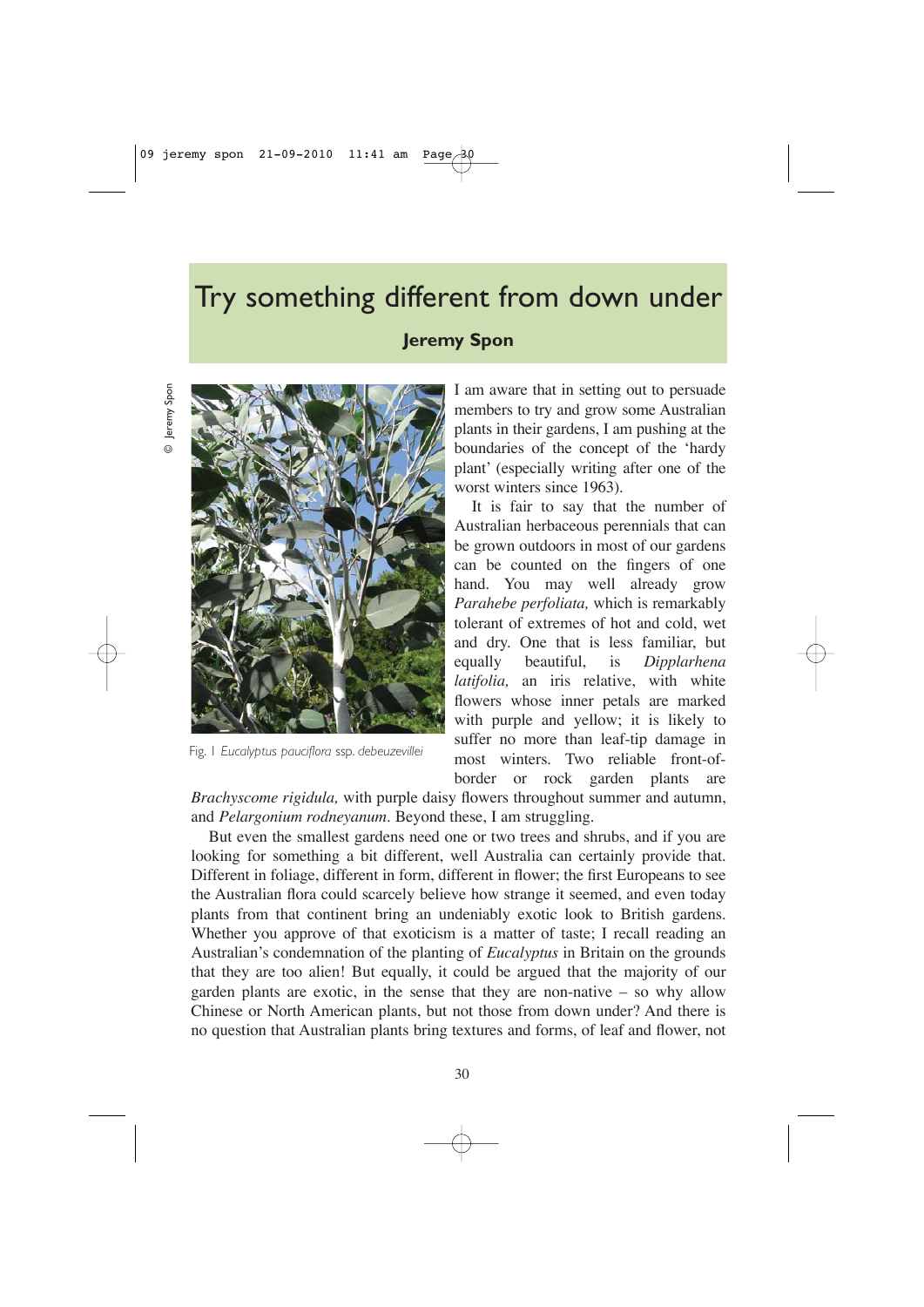## Try something different from down under **Jeremy Spon**





Fig. 1 *Eucalyptus pauciflora* ssp. *debeuzevillei*

I am aware that in setting out to persuade members to try and grow some Australian plants in their gardens, I am pushing at the boundaries of the concept of the 'hardy plant' (especially writing after one of the worst winters since 1963).

It is fair to say that the number of Australian herbaceous perennials that can be grown outdoors in most of our gardens can be counted on the fingers of one hand. You may well already grow *Parahebe perfoliata,* which is remarkably tolerant of extremes of hot and cold, wet and dry. One that is less familiar, but equally beautiful, is *Dipplarhena latifolia,* an iris relative, with white flowers whose inner petals are marked with purple and yellow; it is likely to suffer no more than leaf-tip damage in most winters. Two reliable front-ofborder or rock garden plants are

*Brachyscome rigidula,* with purple daisy flowers throughout summer and autumn, and *Pelargonium rodneyanum*. Beyond these, I am struggling.

But even the smallest gardens need one or two trees and shrubs, and if you are looking for something a bit different, well Australia can certainly provide that. Different in foliage, different in form, different in flower; the first Europeans to see the Australian flora could scarcely believe how strange it seemed, and even today plants from that continent bring an undeniably exotic look to British gardens. Whether you approve of that exoticism is a matter of taste; I recall reading an Australian's condemnation of the planting of *Eucalyptus* in Britain on the grounds that they are too alien! But equally, it could be argued that the majority of our garden plants are exotic, in the sense that they are non-native – so why allow Chinese or North American plants, but not those from down under? And there is no question that Australian plants bring textures and forms, of leaf and flower, not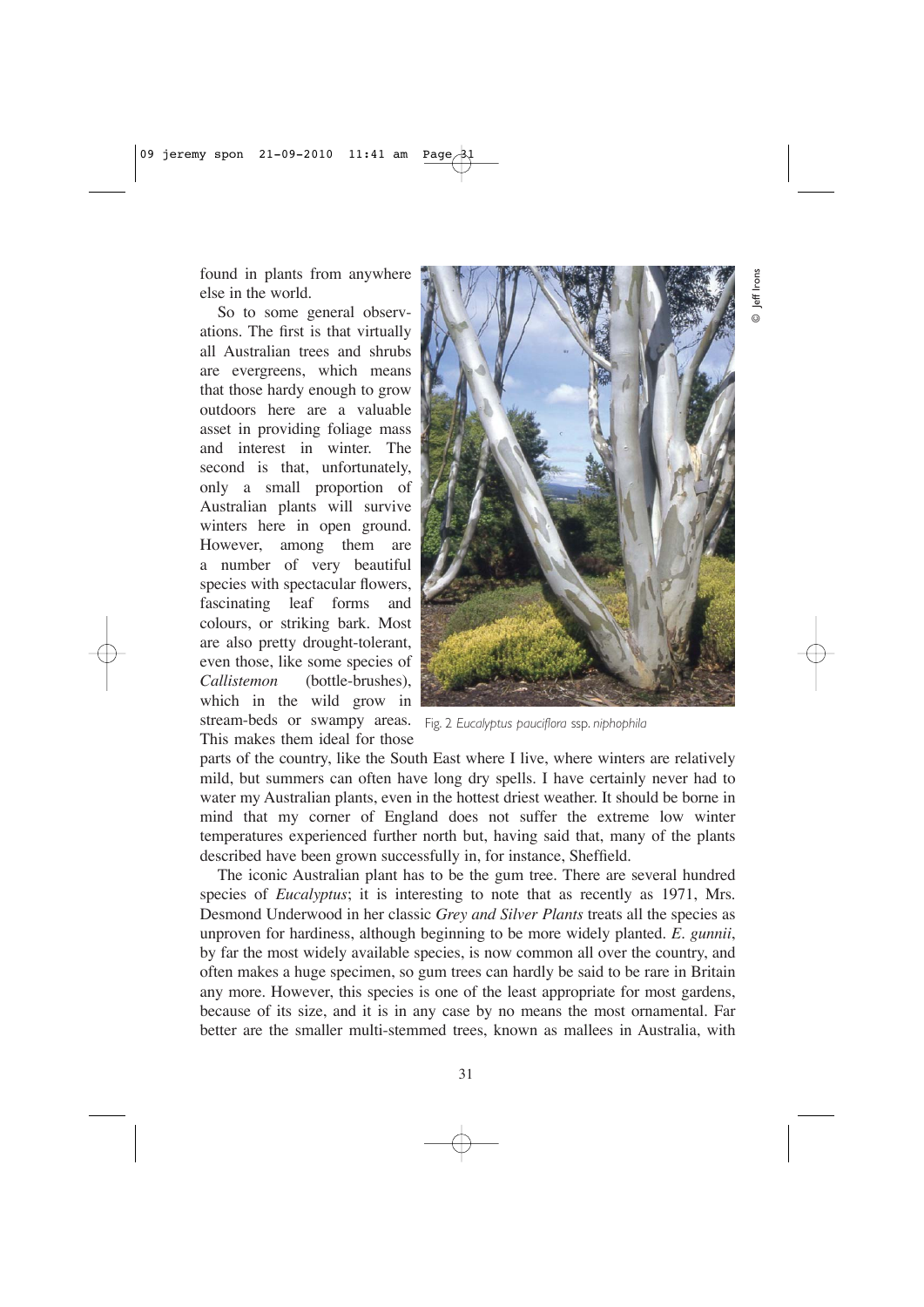found in plants from anywhere else in the world.

So to some general observations. The first is that virtually all Australian trees and shrubs are evergreens, which means that those hardy enough to grow outdoors here are a valuable asset in providing foliage mass and interest in winter. The second is that, unfortunately, only a small proportion of Australian plants will survive winters here in open ground. However, among them are a number of very beautiful species with spectacular flowers, fascinating leaf forms and colours, or striking bark. Most are also pretty drought-tolerant, even those, like some species of *Callistemon* (bottle-brushes), which in the wild grow in stream-beds or swampy areas. Fig. 2 *Eucalyptus pauciflora* ssp. *niphophila* This makes them ideal for those



parts of the country, like the South East where I live, where winters are relatively mild, but summers can often have long dry spells. I have certainly never had to water my Australian plants, even in the hottest driest weather. It should be borne in mind that my corner of England does not suffer the extreme low winter temperatures experienced further north but, having said that, many of the plants described have been grown successfully in, for instance, Sheffield.

The iconic Australian plant has to be the gum tree. There are several hundred species of *Eucalyptus*; it is interesting to note that as recently as 1971, Mrs. Desmond Underwood in her classic *Grey and Silver Plants* treats all the species as unproven for hardiness, although beginning to be more widely planted. *E. gunnii*, by far the most widely available species, is now common all over the country, and often makes a huge specimen, so gum trees can hardly be said to be rare in Britain any more. However, this species is one of the least appropriate for most gardens, because of its size, and it is in any case by no means the most ornamental. Far better are the smaller multi-stemmed trees, known as mallees in Australia, with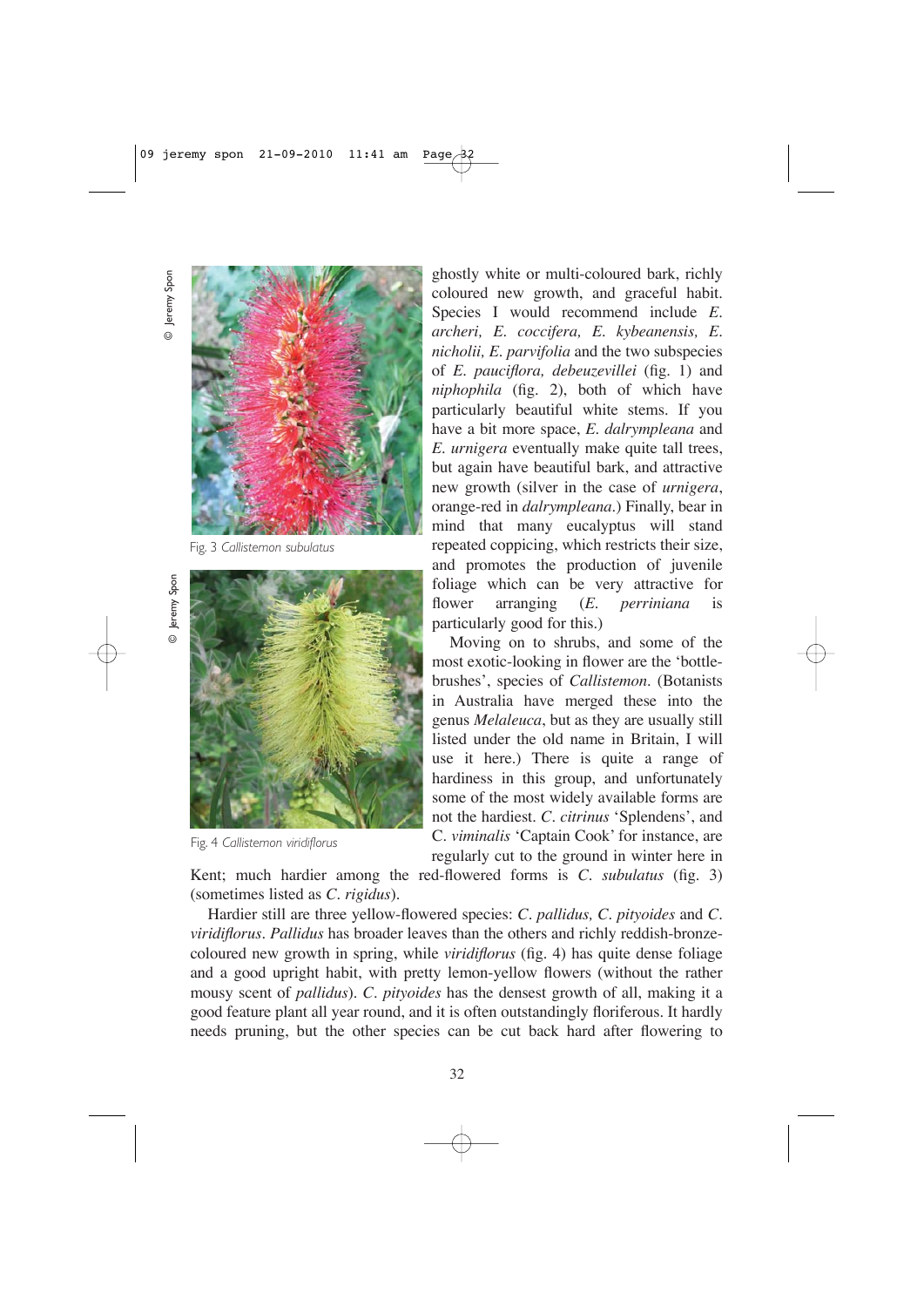**D** Jeremy Spon © Jeremy Spon

© Jeremy Spon



Fig. 3 *Callistemon subulatus*



Fig. 4 *Callistemon viridiflorus*

ghostly white or multi-coloured bark, richly coloured new growth, and graceful habit. Species I would recommend include *E. archeri, E. coccifera, E. kybeanensis, E. nicholii, E. parvifolia* and the two subspecies of *E. pauciflora, debeuzevillei* (fig. 1) and *niphophila* (fig. 2), both of which have particularly beautiful white stems. If you have a bit more space, *E. dalrympleana* and *E. urnigera* eventually make quite tall trees, but again have beautiful bark, and attractive new growth (silver in the case of *urnigera*, orange-red in *dalrympleana*.) Finally, bear in mind that many eucalyptus will stand repeated coppicing, which restricts their size, and promotes the production of juvenile foliage which can be very attractive for flower arranging (*E. perriniana* is particularly good for this.)

Moving on to shrubs, and some of the most exotic-looking in flower are the 'bottlebrushes', species of *Callistemon*. (Botanists in Australia have merged these into the genus *Melaleuca*, but as they are usually still listed under the old name in Britain, I will use it here.) There is quite a range of hardiness in this group, and unfortunately some of the most widely available forms are not the hardiest. *C. citrinus* 'Splendens', and C. *viminalis* 'Captain Cook' for instance, are regularly cut to the ground in winter here in

Kent; much hardier among the red-flowered forms is *C. subulatus* (fig. 3) (sometimes listed as *C. rigidus*).

Hardier still are three yellow-flowered species: *C. pallidus, C. pityoides* and *C. viridiflorus. Pallidus* has broader leaves than the others and richly reddish-bronzecoloured new growth in spring, while *viridiflorus* (fig. 4) has quite dense foliage and a good upright habit, with pretty lemon-yellow flowers (without the rather mousy scent of *pallidus*). *C. pityoides* has the densest growth of all, making it a good feature plant all year round, and it is often outstandingly floriferous. It hardly needs pruning, but the other species can be cut back hard after flowering to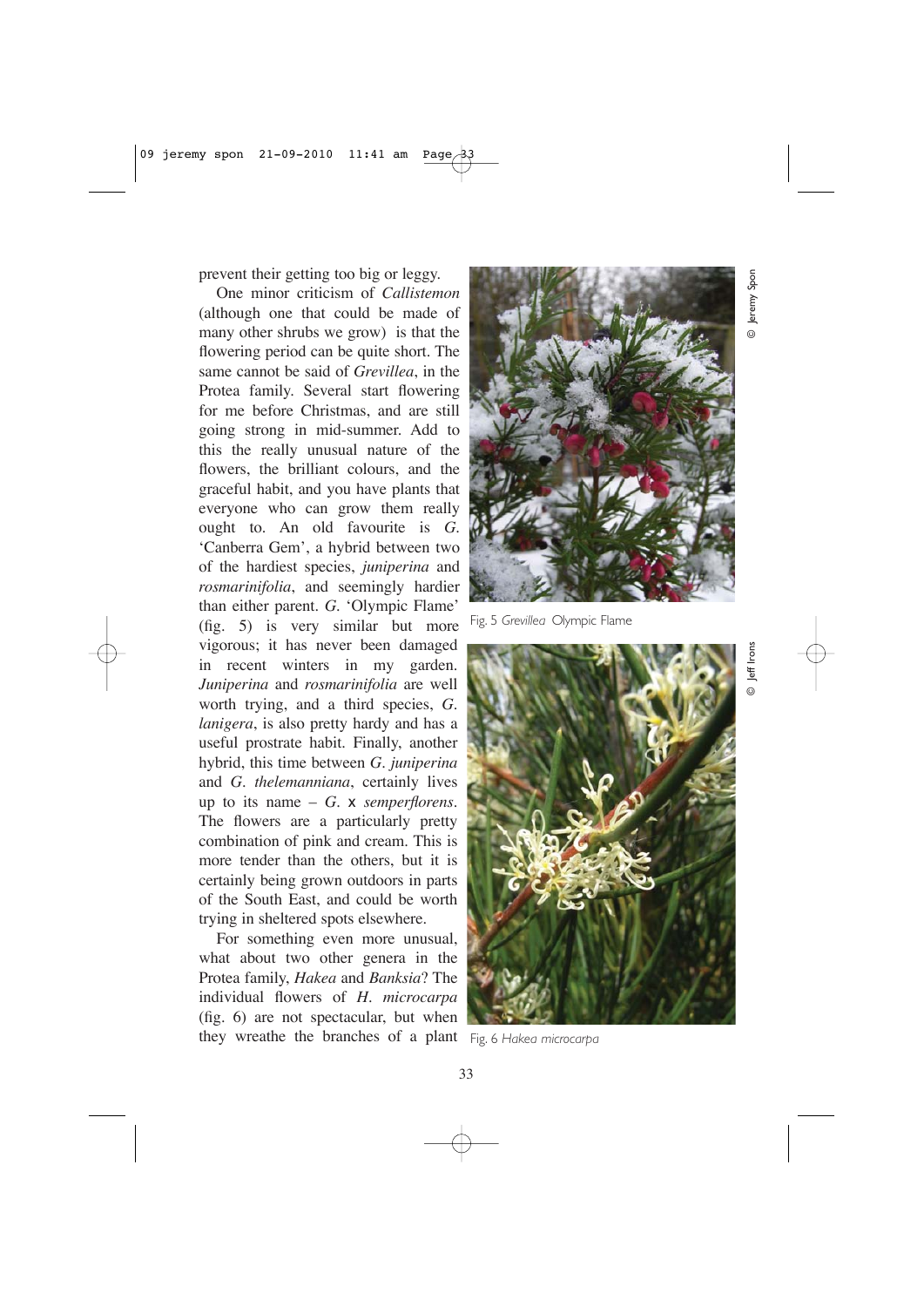prevent their getting too big or leggy.

One minor criticism of *Callistemon* (although one that could be made of many other shrubs we grow) is that the flowering period can be quite short. The same cannot be said of *Grevillea*, in the Protea family. Several start flowering for me before Christmas, and are still going strong in mid-summer. Add to this the really unusual nature of the flowers, the brilliant colours, and the graceful habit, and you have plants that everyone who can grow them really ought to. An old favourite is *G.* 'Canberra Gem', a hybrid between two of the hardiest species, *juniperina* and *rosmarinifolia*, and seemingly hardier than either parent. *G.* 'Olympic Flame' (fig. 5) is very similar but more vigorous; it has never been damaged in recent winters in my garden. *Juniperina* and *rosmarinifolia* are well worth trying, and a third species, *G. lanigera*, is also pretty hardy and has a useful prostrate habit. Finally, another hybrid, this time between *G. juniperina* and *G. thelemanniana*, certainly lives up to its name – *G.* x *semperflorens.* The flowers are a particularly pretty combination of pink and cream. This is more tender than the others, but it is certainly being grown outdoors in parts of the South East, and could be worth trying in sheltered spots elsewhere.

For something even more unusual, what about two other genera in the Protea family, *Hakea* and *Banksia*? The individual flowers of *H. microcarpa* (fig. 6) are not spectacular, but when they wreathe the branches of a plant Fig. 6 *Hakea microcarpa*



Fig. 5 *Grevillea* Olympic Flame



© Jeremy Spon eremy Spon

© Jeff Irons eff Irons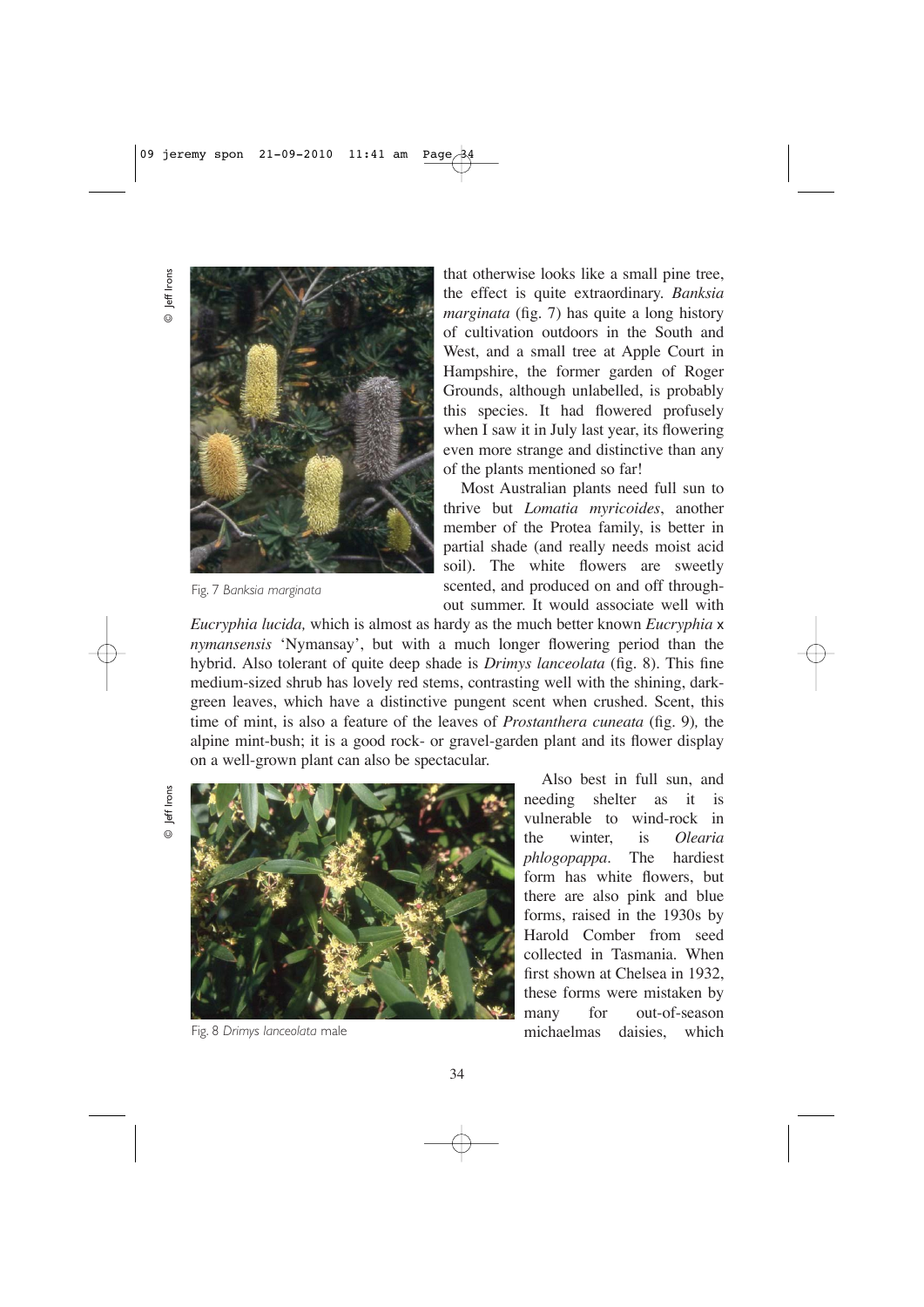© Jeff Irons Jeff Irons  $\odot$ 



Fig. 7 *Banksia marginata*

that otherwise looks like a small pine tree, the effect is quite extraordinary. *Banksia marginata* (fig. 7) has quite a long history of cultivation outdoors in the South and West, and a small tree at Apple Court in Hampshire, the former garden of Roger Grounds, although unlabelled, is probably this species. It had flowered profusely when I saw it in July last year, its flowering even more strange and distinctive than any of the plants mentioned so far!

Most Australian plants need full sun to thrive but *Lomatia myricoides*, another member of the Protea family, is better in partial shade (and really needs moist acid soil). The white flowers are sweetly scented, and produced on and off throughout summer. It would associate well with

*Eucryphia lucida,* which is almost as hardy as the much better known *Eucryphia* x *nymansensis* 'Nymansay', but with a much longer flowering period than the hybrid. Also tolerant of quite deep shade is *Drimys lanceolata* (fig. 8)*.* This fine medium-sized shrub has lovely red stems, contrasting well with the shining, darkgreen leaves, which have a distinctive pungent scent when crushed. Scent, this time of mint, is also a feature of the leaves of *Prostanthera cuneata* (fig. 9)*,* the alpine mint-bush; it is a good rock- or gravel-garden plant and its flower display on a well-grown plant can also be spectacular.

Jeff Irons © Jeff Irons  $\odot$ 



Fig. 8 *Drimys lanceolata* male

Also best in full sun, and needing shelter as it is vulnerable to wind-rock in the winter, is *Olearia phlogopappa*. The hardiest form has white flowers, but there are also pink and blue forms, raised in the 1930s by Harold Comber from seed collected in Tasmania. When first shown at Chelsea in 1932, these forms were mistaken by many for out-of-season michaelmas daisies, which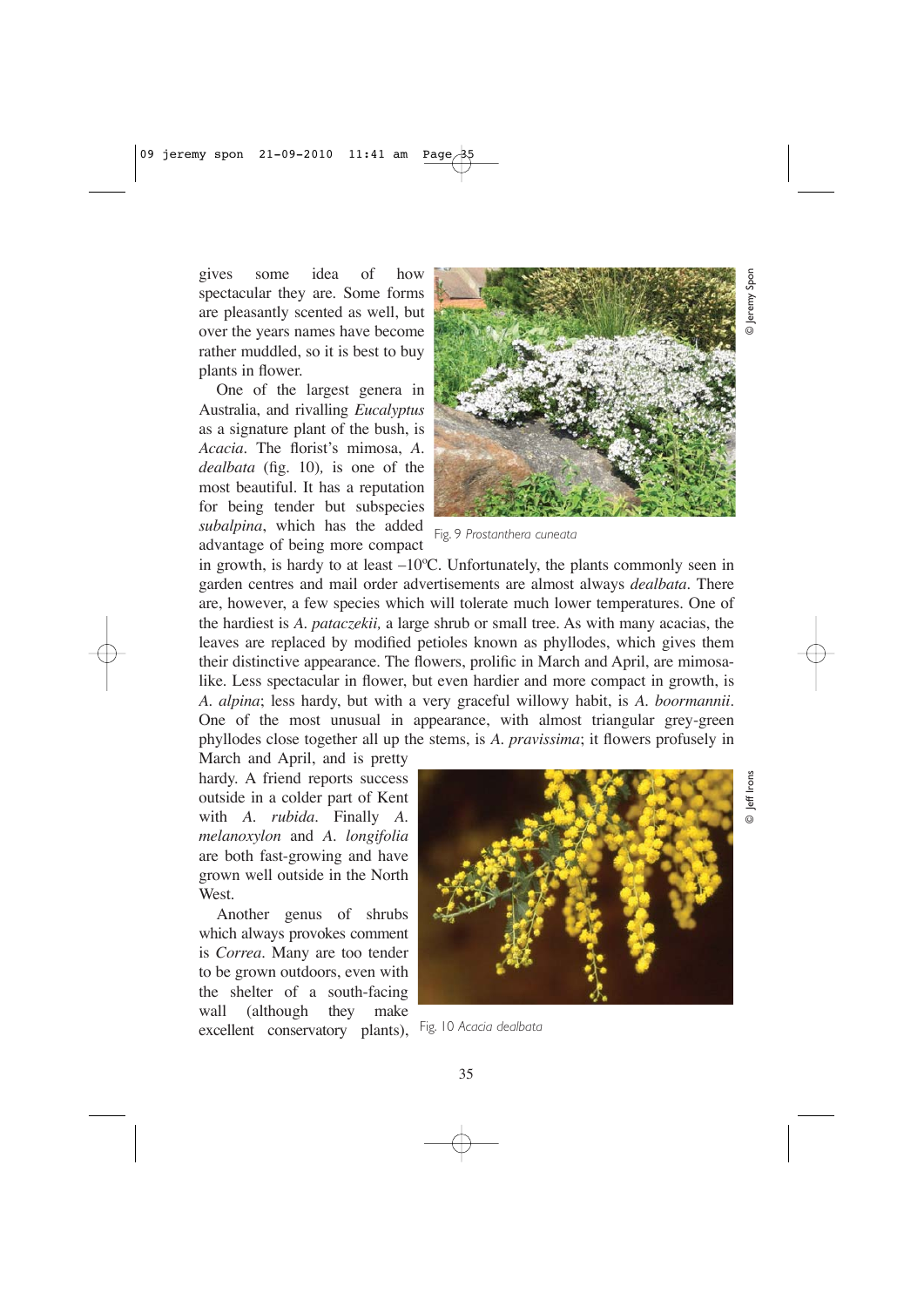gives some idea of how spectacular they are. Some forms are pleasantly scented as well, but over the years names have become rather muddled, so it is best to buy plants in flower.

One of the largest genera in Australia, and rivalling *Eucalyptus* as a signature plant of the bush, is *Acacia.* The florist's mimosa, *A. dealbata* (fig. 10)*,* is one of the most beautiful. It has a reputation for being tender but subspecies *subalpina*, which has the added advantage of being more compact



© Jeremy Spon



in growth, is hardy to at least –10ºC. Unfortunately, the plants commonly seen in garden centres and mail order advertisements are almost always *dealbata.* There are, however, a few species which will tolerate much lower temperatures. One of the hardiest is *A. pataczekii,* a large shrub or small tree. As with many acacias, the leaves are replaced by modified petioles known as phyllodes, which gives them their distinctive appearance. The flowers, prolific in March and April, are mimosalike. Less spectacular in flower, but even hardier and more compact in growth, is *A. alpina*; less hardy, but with a very graceful willowy habit, is *A. boormannii*. One of the most unusual in appearance, with almost triangular grey-green phyllodes close together all up the stems, is *A. pravissima*; it flowers profusely in

March and April, and is pretty hardy. A friend reports success outside in a colder part of Kent with *A. rubida*. Finally *A. melanoxylon* and *A. longifolia* are both fast-growing and have grown well outside in the North West.

Another genus of shrubs which always provokes comment is *Correa*. Many are too tender to be grown outdoors, even with the shelter of a south-facing wall (although they make excellent conservatory plants), Fig. 10 *Acacia dealbata*